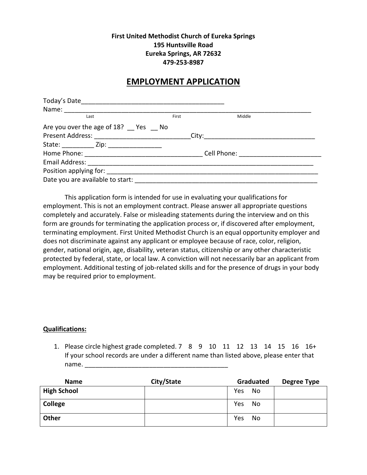### **First United Methodist Church of Eureka Springs 195 Huntsville Road Eureka Springs, AR 72632 479-253-8987**

## **EMPLOYMENT APPLICATION**

| Last                                                                              | First | Middle |  |
|-----------------------------------------------------------------------------------|-------|--------|--|
| Are you over the age of 18? Pes Mo                                                |       |        |  |
| Present Address: ________________________________City:___________________________ |       |        |  |
|                                                                                   |       |        |  |
|                                                                                   |       |        |  |
|                                                                                   |       |        |  |
|                                                                                   |       |        |  |
| Date you are available to start:                                                  |       |        |  |

This application form is intended for use in evaluating your qualifications for employment. This is not an employment contract. Please answer all appropriate questions completely and accurately. False or misleading statements during the interview and on this form are grounds for terminating the application process or, if discovered after employment, terminating employment. First United Methodist Church is an equal opportunity employer and does not discriminate against any applicant or employee because of race, color, religion, gender, national origin, age, disability, veteran status, citizenship or any other characteristic protected by federal, state, or local law. A conviction will not necessarily bar an applicant from employment. Additional testing of job-related skills and for the presence of drugs in your body may be required prior to employment.

#### **Qualifications:**

1. Please circle highest grade completed. 7 8 9 10 11 12 13 14 15 16 16+ If your school records are under a different name than listed above, please enter that name. \_\_\_\_\_\_\_\_\_\_\_\_\_\_\_\_\_\_\_\_\_\_\_\_\_\_\_\_\_\_\_\_\_\_\_\_\_\_\_\_

| <b>Name</b>        | City/State |     | Graduated | Degree Type |
|--------------------|------------|-----|-----------|-------------|
| <b>High School</b> |            | Yes | No        |             |
| <b>College</b>     |            | Yes | No        |             |
| Other              |            | Yes | No        |             |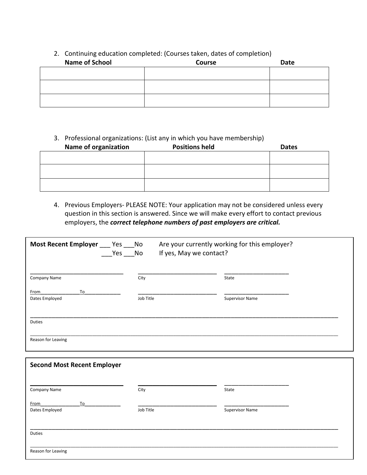# 2. Continuing education completed: (Courses taken, dates of completion) **Name of School Course Course Course Course Date**

### 3. Professional organizations: (List any in which you have membership)

| <b>Name of organization</b> | <b>Positions held</b> | <b>Dates</b> |
|-----------------------------|-----------------------|--------------|
|                             |                       |              |
|                             |                       |              |
|                             |                       |              |
|                             |                       |              |
|                             |                       |              |

### 4. Previous Employers- PLEASE NOTE: Your application may not be considered unless every question in this section is answered. Since we will make every effort to contact previous employers, the *correct telephone numbers of past employers are critical.*

| Most Recent Employer ___ Yes ___ No | $Yes$ No  | Are your currently working for this employer?<br>If yes, May we contact? |  |
|-------------------------------------|-----------|--------------------------------------------------------------------------|--|
| <b>Company Name</b>                 | City      | State                                                                    |  |
| To<br>From<br>Dates Employed        | Job Title | <b>Supervisor Name</b>                                                   |  |
| <b>Duties</b>                       |           |                                                                          |  |
| Reason for Leaving                  |           |                                                                          |  |
| <b>Second Most Recent Employer</b>  |           |                                                                          |  |
| Company Name                        | City      | State                                                                    |  |
| To<br>From<br>Dates Employed        | Job Title | <b>Supervisor Name</b>                                                   |  |
| <b>Duties</b>                       |           |                                                                          |  |
| Reason for Leaving                  |           |                                                                          |  |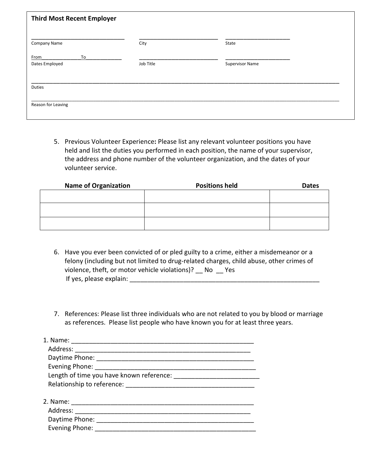| <b>Third Most Recent Employer</b> |           |                        |
|-----------------------------------|-----------|------------------------|
| <b>Company Name</b>               | City      | State                  |
| To<br>From<br>Dates Employed      | Job Title | <b>Supervisor Name</b> |
| Duties                            |           |                        |
| Reason for Leaving                |           |                        |

5. Previous Volunteer Experience**:** Please list any relevant volunteer positions you have held and list the duties you performed in each position, the name of your supervisor, the address and phone number of the volunteer organization, and the dates of your volunteer service.

| <b>Name of Organization</b> | <b>Positions held</b> | <b>Dates</b> |
|-----------------------------|-----------------------|--------------|
|                             |                       |              |
|                             |                       |              |
|                             |                       |              |
|                             |                       |              |
|                             |                       |              |

- 6. Have you ever been convicted of or pled guilty to a crime, either a misdemeanor or a felony (including but not limited to drug-related charges, child abuse, other crimes of violence, theft, or motor vehicle violations)? \_\_ No \_\_ Yes If yes, please explain: \_\_\_\_\_\_\_\_\_\_\_\_\_\_\_\_\_\_\_\_\_\_\_\_\_\_\_\_\_\_\_\_\_\_\_\_\_\_\_\_\_\_\_\_\_\_\_\_\_\_\_\_\_
- 7. References: Please list three individuals who are not related to you by blood or marriage as references. Please list people who have known you for at least three years.

| 1. Name:                                 |
|------------------------------------------|
|                                          |
|                                          |
| Evening Phone:                           |
| Length of time you have known reference: |
|                                          |
| 2. Name:                                 |
|                                          |
| Daytime Phone: ____________________      |
| Evening Phone:                           |